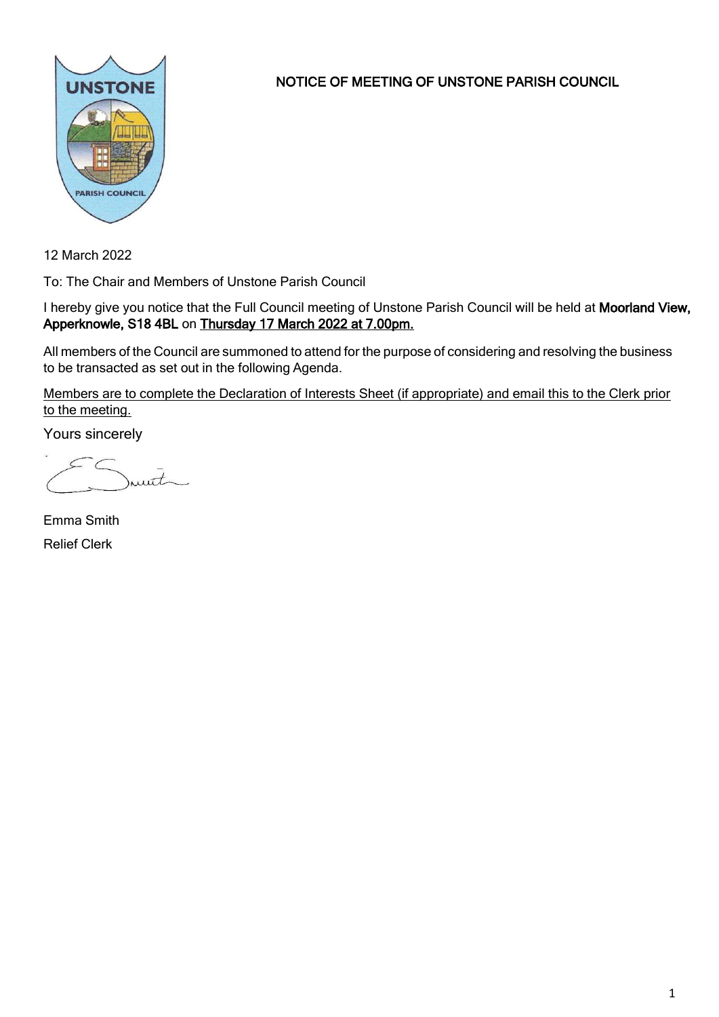

NOTICE OF MEETING OF UNSTONE PARISH COUNCIL

12 March 2022

To: The Chair and Members of Unstone Parish Council

I hereby give you notice that the Full Council meeting of Unstone Parish Council will be held at Moorland View, Apperknowle, S18 4BL on Thursday 17 March 2022 at 7.00pm.

All members of the Council are summoned to attend for the purpose of considering and resolving the business to be transacted as set out in the following Agenda.

Members are to complete the Declaration of Interests Sheet (if appropriate) and email this to the Clerk prior to the meeting.

Yours sincerely

munt

Emma Smith Relief Clerk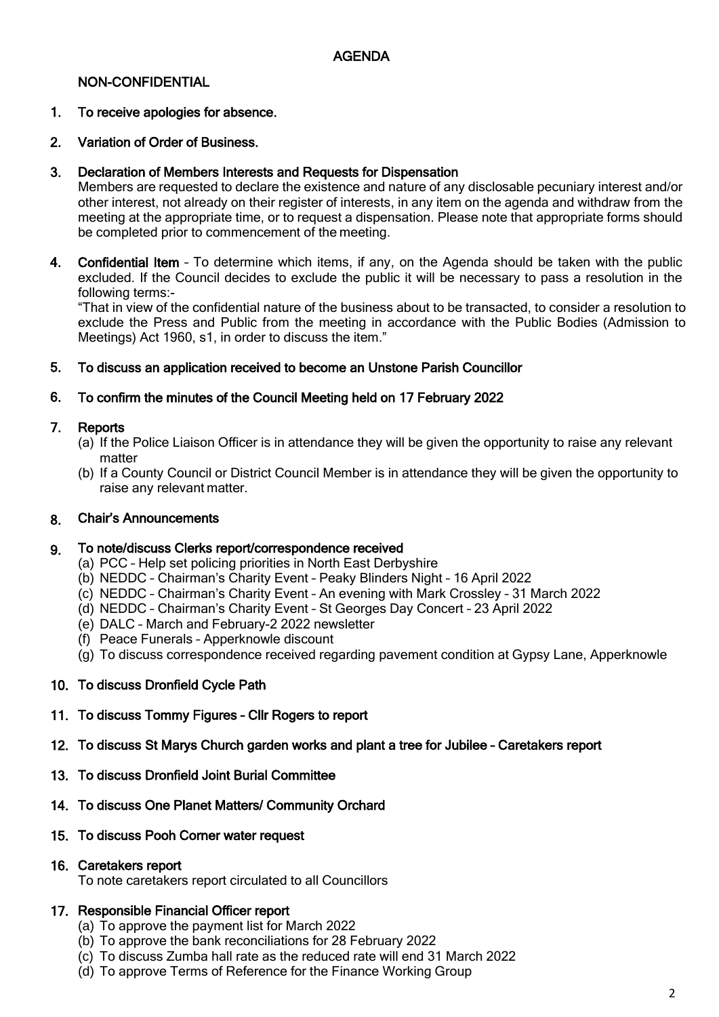## NON-CONFIDENTIAL

### 1. To receive apologies for absence.

### 2. Variation of Order of Business.

### 3. Declaration of Members Interests and Requests for Dispensation

Members are requested to declare the existence and nature of any disclosable pecuniary interest and/or other interest, not already on their register of interests, in any item on the agenda and withdraw from the meeting at the appropriate time, or to request a dispensation. Please note that appropriate forms should be completed prior to commencement of the meeting.

4. Confidential Item – To determine which items, if any, on the Agenda should be taken with the public excluded. If the Council decides to exclude the public it will be necessary to pass a resolution in the following terms:-

"That in view of the confidential nature of the business about to be transacted, to consider a resolution to exclude the Press and Public from the meeting in accordance with the Public Bodies (Admission to Meetings) Act 1960, s1, in order to discuss the item."

### 5. To discuss an application received to become an Unstone Parish Councillor

### 6. To confirm the minutes of the Council Meeting held on 17 February 2022

### 7. Reports

- (a) If the Police Liaison Officer is in attendance they will be given the opportunity to raise any relevant matter
- (b) If a County Council or District Council Member is in attendance they will be given the opportunity to raise any relevant matter.

### 8. Chair's Announcements

### 9. To note/discuss Clerks report/correspondence received

- (a) PCC Help set policing priorities in North East Derbyshire
- (b) NEDDC Chairman's Charity Event Peaky Blinders Night 16 April 2022
- (c) NEDDC Chairman's Charity Event An evening with Mark Crossley 31 March 2022
- (d) NEDDC Chairman's Charity Event St Georges Day Concert 23 April 2022
- (e) DALC March and February-2 2022 newsletter
- (f) Peace Funerals Apperknowle discount
- (g) To discuss correspondence received regarding pavement condition at Gypsy Lane, Apperknowle

### 10. To discuss Dronfield Cycle Path

# 11. To discuss Tommy Figures – Cllr Rogers to report

- 12. To discuss St Marys Church garden works and plant a tree for Jubilee Caretakers report
- 13. To discuss Dronfield Joint Burial Committee
- 14. To discuss One Planet Matters/ Community Orchard
- 15. To discuss Pooh Corner water request

## 16. Caretakers report

To note caretakers report circulated to all Councillors

### 17. Responsible Financial Officer report

- (a) To approve the payment list for March 2022
- (b) To approve the bank reconciliations for 28 February 2022
- (c) To discuss Zumba hall rate as the reduced rate will end 31 March 2022
- (d) To approve Terms of Reference for the Finance Working Group